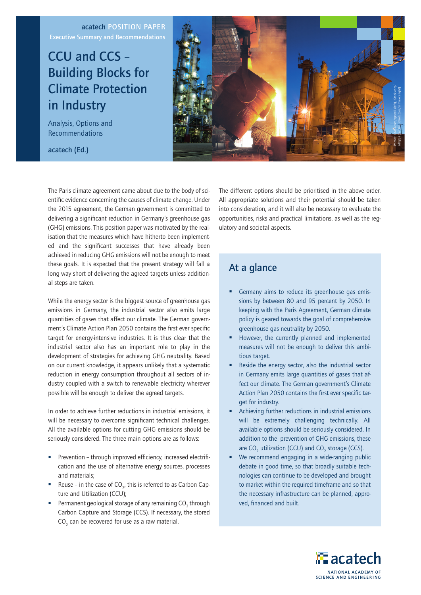### acatech POSITION PAPER Executive Summary and Recommendations

# CCU and CCS – Building Blocks for Climate Protection in Industry

Analysis, Options and Recommendations

acatech (Ed.)



The Paris climate agreement came about due to the body of scientific evidence concerning the causes of climate change. Under the 2015 agreement, the German government is committed to delivering a significant reduction in Germany's greenhouse gas (GHG) emissions. This position paper was motivated by the realisation that the measures which have hitherto been implemented and the significant successes that have already been achieved in reducing GHG emissions will not be enough to meet these goals. It is expected that the present strategy will fall a long way short of delivering the agreed targets unless additional steps are taken.

While the energy sector is the biggest source of greenhouse gas emissions in Germany, the industrial sector also emits large quantities of gases that affect our climate. The German government's Climate Action Plan 2050 contains the first ever specific target for energy-intensive industries. It is thus clear that the industrial sector also has an important role to play in the development of strategies for achieving GHG neutrality. Based on our current knowledge, it appears unlikely that a systematic reduction in energy consumption throughout all sectors of industry coupled with a switch to renewable electricity wherever possible will be enough to deliver the agreed targets.

In order to achieve further reductions in industrial emissions, it will be necessary to overcome significant technical challenges. All the available options for cutting GHG emissions should be seriously considered. The three main options are as follows:

- Prevention through improved efficiency, increased electrification and the use of alternative energy sources, processes and materials;
- Reuse in the case of  $CO<sub>2</sub>$ , this is referred to as Carbon Capture and Utilization (CCU);
- **•** Permanent geological storage of any remaining  $CO<sub>2</sub>$  through Carbon Capture and Storage (CCS). If necessary, the stored CO $_{_{2}}$  can be recovered for use as a raw material.

The different options should be prioritised in the above order. All appropriate solutions and their potential should be taken into consideration, and it will also be necessary to evaluate the opportunities, risks and practical limitations, as well as the regulatory and societal aspects.

## At a glance

- Germany aims to reduce its greenhouse gas emissions by between 80 and 95 percent by 2050. In keeping with the Paris Agreement, German climate policy is geared towards the goal of comprehensive greenhouse gas neutrality by 2050.
- However, the currently planned and implemented measures will not be enough to deliver this ambitious target.
- Beside the energy sector, also the industrial sector in Germany emits large quantities of gases that affect our climate. The German government's Climate Action Plan 2050 contains the first ever specific target for industry.
- § Achieving further reductions in industrial emissions will be extremely challenging technically. All available options should be seriously considered. In addition to the prevention of GHG emissions, these are  $CO_2$  utilization (CCU) and  $CO_2$  storage (CCS).
- We recommend engaging in a wide-ranging public debate in good time, so that broadly suitable technologies can continue to be developed and brought to market within the required timeframe and so that the necessary infrastructure can be planned, approved, financed and built.

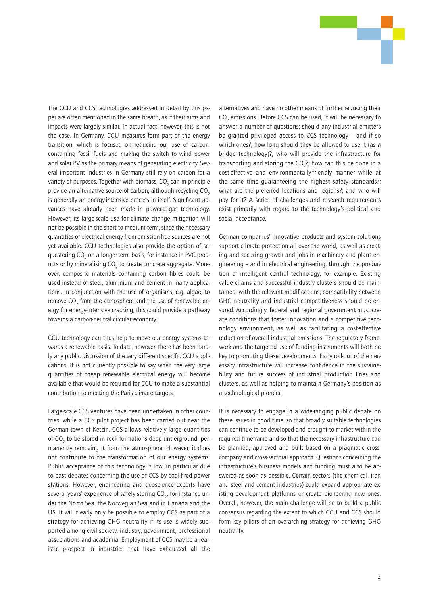

The CCU and CCS technologies addressed in detail by this paper are often mentioned in the same breath, as if their aims and impacts were largely similar. In actual fact, however, this is not the case. In Germany, CCU measures form part of the energy transition, which is focused on reducing our use of carboncontaining fossil fuels and making the switch to wind power and solar PV as the primary means of generating electricity. Several important industries in Germany still rely on carbon for a variety of purposes. Together with biomass, CO $_{\rm 2}$  can in principle provide an alternative source of carbon, although recycling CO<sub>2</sub> is generally an energy-intensive process in itself. Significant advances have already been made in power-to-gas technology. However, its large-scale use for climate change mitigation will not be possible in the short to medium term, since the necessary quantities of electrical energy from emission-free sources are not yet available. CCU technologies also provide the option of sequestering CO $_{_2}$  on a longer-term basis, for instance in PVC products or by mineralising CO<sub>2</sub> to create concrete aggregate. Moreover, composite materials containing carbon fibres could be used instead of steel, aluminium and cement in many applications. In conjunction with the use of organisms, e.g. algae, to remove CO<sub>2</sub> from the atmosphere and the use of renewable energy for energy-intensive cracking, this could provide a pathway towards a carbon-neutral circular economy.

CCU technology can thus help to move our energy systems towards a renewable basis. To date, however, there has been hardly any public discussion of the very different specific CCU applications. It is not currently possible to say when the very large quantities of cheap renewable electrical energy will become available that would be required for CCU to make a substantial contribution to meeting the Paris climate targets.

Large-scale CCS ventures have been undertaken in other countries, while a CCS pilot project has been carried out near the German town of Ketzin. CCS allows relatively large quantities of CO $_{\textrm{\tiny{2}}}$  to be stored in rock formations deep underground, permanently removing it from the atmosphere. However, it does not contribute to the transformation of our energy systems. Public acceptance of this technology is low, in particular due to past debates concerning the use of CCS by coal-fired power stations. However, engineering and geoscience experts have several years' experience of safely storing CO $_{_{2^{\prime}}}$  for instance under the North Sea, the Norwegian Sea and in Canada and the US. It will clearly only be possible to employ CCS as part of a strategy for achieving GHG neutrality if its use is widely supported among civil society, industry, government, professional associations and academia. Employment of CCS may be a realistic prospect in industries that have exhausted all the alternatives and have no other means of further reducing their  $\mathrm{CO}_2$  emissions. Before CCS can be used, it will be necessary to answer a number of questions: should any industrial emitters be granted privileged access to CCS technology – and if so which ones?; how long should they be allowed to use it (as a bridge technology)?; who will provide the infrastructure for transporting and storing the  $CO<sub>2</sub>$ ?; how can this be done in a cost-effective and environmentally-friendly manner while at the same time guaranteeing the highest safety standards?; what are the preferred locations and regions?; and who will pay for it? A series of challenges and research requirements exist primarily with regard to the technology's political and social acceptance.

German companies' innovative products and system solutions support climate protection all over the world, as well as creating and securing growth and jobs in machinery and plant engineering – and in electrical engineering, through the production of intelligent control technology, for example. Existing value chains and successful industry clusters should be maintained, with the relevant modifications; compatibility between GHG neutrality and industrial competitiveness should be ensured. Accordingly, federal and regional government must create conditions that foster innovation and a competitive technology environment, as well as facilitating a cost-effective reduction of overall industrial emissions. The regulatory framework and the targeted use of funding instruments will both be key to promoting these developments. Early roll-out of the necessary infrastructure will increase confidence in the sustainability and future success of industrial production lines and clusters, as well as helping to maintain Germany's position as a technological pioneer.

It is necessary to engage in a wide-ranging public debate on these issues in good time, so that broadly suitable technologies can continue to be developed and brought to market within the required timeframe and so that the necessary infrastructure can be planned, approved and built based on a pragmatic crosscompany and cross-sectoral approach. Questions concerning the infrastructure's business models and funding must also be answered as soon as possible. Certain sectors (the chemical, iron and steel and cement industries) could expand appropriate existing development platforms or create pioneering new ones. Overall, however, the main challenge will be to build a public consensus regarding the extent to which CCU and CCS should form key pillars of an overarching strategy for achieving GHG neutrality.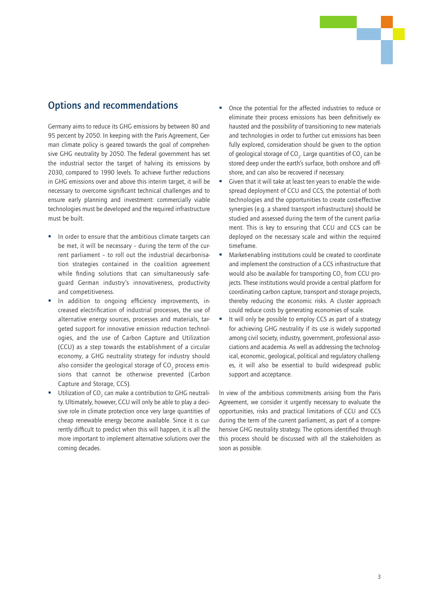## Options and recommendations

Germany aims to reduce its GHG emissions by between 80 and 95 percent by 2050. In keeping with the Paris Agreement, German climate policy is geared towards the goal of comprehensive GHG neutrality by 2050. The federal government has set the industrial sector the target of halving its emissions by 2030, compared to 1990 levels. To achieve further reductions in GHG emissions over and above this interim target, it will be necessary to overcome significant technical challenges and to ensure early planning and investment: commercially viable technologies must be developed and the required infrastructure must be built.

- In order to ensure that the ambitious climate targets can be met, it will be necessary – during the term of the current parliament – to roll out the industrial decarbonisation strategies contained in the coalition agreement while finding solutions that can simultaneously safeguard German industry's innovativeness, productivity and competitiveness.
- In addition to ongoing efficiency improvements, increased electrification of industrial processes, the use of alternative energy sources, processes and materials, targeted support for innovative emission reduction technologies, and the use of Carbon Capture and Utilization (CCU) as a step towards the establishment of a circular economy, a GHG neutrality strategy for industry should also consider the geological storage of CO $_{\rm _2}$  process emissions that cannot be otherwise prevented (Carbon Capture and Storage, CCS).
- **•** Utilization of CO<sub>2</sub> can make a contribution to GHG neutrality. Ultimately, however, CCU will only be able to play a decisive role in climate protection once very large quantities of cheap renewable energy become available. Since it is currently difficult to predict when this will happen, it is all the more important to implement alternative solutions over the coming decades.
- § Once the potential for the affected industries to reduce or eliminate their process emissions has been definitively exhausted and the possibility of transitioning to new materials and technologies in order to further cut emissions has been fully explored, consideration should be given to the option of geological storage of CO<sub>2</sub>. Large quantities of CO<sub>2</sub> can be stored deep under the earth's surface, both onshore and offshore, and can also be recovered if necessary.
- Given that it will take at least ten years to enable the widespread deployment of CCU and CCS, the potential of both technologies and the opportunities to create cost-effective synergies (e.g. a shared transport infrastructure) should be studied and assessed during the term of the current parliament. This is key to ensuring that CCU and CCS can be deployed on the necessary scale and within the required timeframe.
- Market-enabling institutions could be created to coordinate and implement the construction of a CCS infrastructure that would also be available for transporting  $CO_2$  from CCU projects. These institutions would provide a central platform for coordinating carbon capture, transport and storage projects, thereby reducing the economic risks. A cluster approach could reduce costs by generating economies of scale.
- It will only be possible to employ CCS as part of a strategy for achieving GHG neutrality if its use is widely supported among civil society, industry, government, professional associations and academia. As well as addressing the technological, economic, geological, political and regulatory challenges, it will also be essential to build widespread public support and acceptance.

In view of the ambitious commitments arising from the Paris Agreement, we consider it urgently necessary to evaluate the opportunities, risks and practical limitations of CCU and CCS during the term of the current parliament, as part of a comprehensive GHG neutrality strategy. The options identified through this process should be discussed with all the stakeholders as soon as possible.